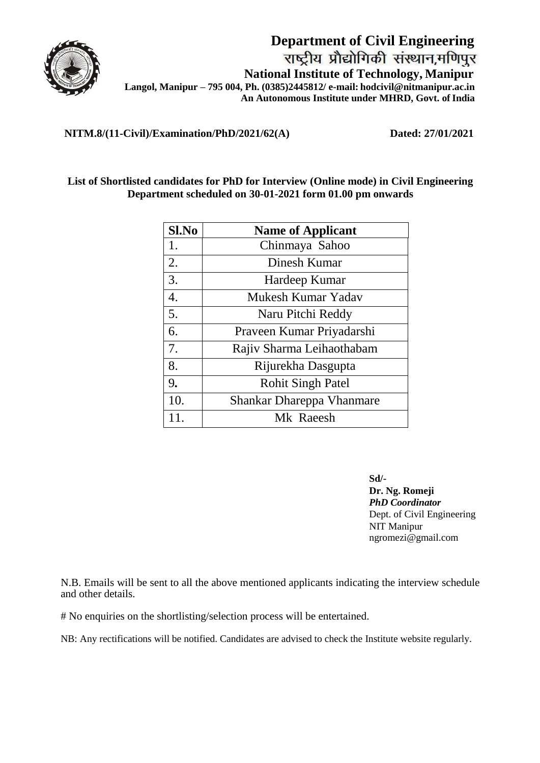

**Department of Civil Engineering National Institute of Technology, Manipur Langol, Manipur – 795 004, Ph. (0385)2445812/ e-mail: hodcivil@nitmanipur.ac.in** An Autonomous Institute under MHRD, Govt. of India

**NITM.8/(11-Civil)/Examination/PhD/2021/62(A) Dated: 27/01/2021**

## **List of Shortlisted candidates for PhD for Interview (Online mode) in Civil Engineering Department scheduled on 30-01-2021 form 01.00 pm onwards**

| Sl.No | <b>Name of Applicant</b>         |
|-------|----------------------------------|
| 1.    | Chinmaya Sahoo                   |
| 2.    | Dinesh Kumar                     |
| 3.    | Hardeep Kumar                    |
| 4.    | Mukesh Kumar Yadav               |
| 5.    | Naru Pitchi Reddy                |
| 6.    | Praveen Kumar Priyadarshi        |
| 7.    | Rajiv Sharma Leihaothabam        |
| 8.    | Rijurekha Dasgupta               |
| 9.    | <b>Rohit Singh Patel</b>         |
| 10.   | <b>Shankar Dhareppa Vhanmare</b> |
| 11    | Mk Raeesh                        |

**Sd/- Dr. Ng. Romeji**  *PhD Coordinator*  Dept. of Civil Engineering NIT Manipur ngromezi@gmail.com

N.B. Emails will be sent to all the above mentioned applicants indicating the interview schedule and other details.

# No enquiries on the shortlisting/selection process will be entertained.

NB: Any rectifications will be notified. Candidates are advised to check the Institute website regularly.